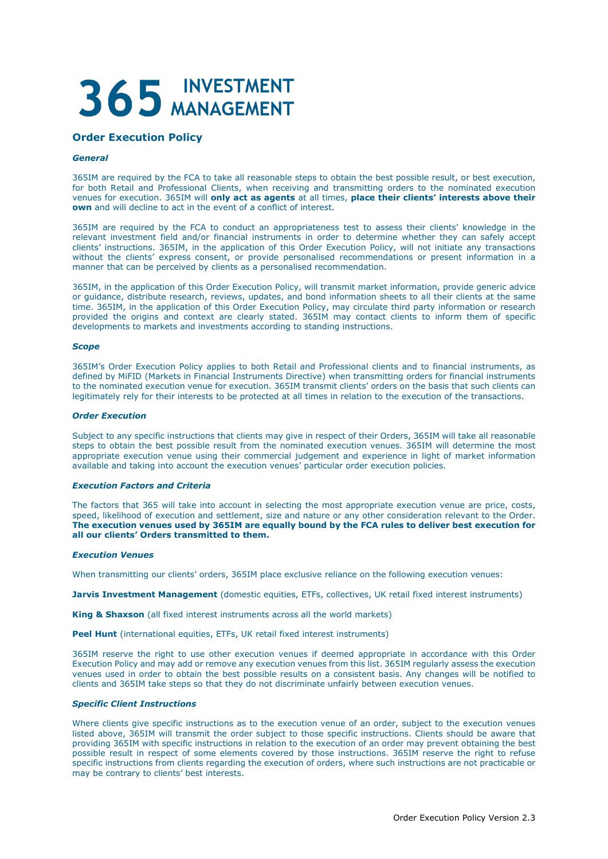# 365 INVESTMENT

# **Order Execution Policy**

# *General*

365IM are required by the FCA to take all reasonable steps to obtain the best possible result, or best execution, for both Retail and Professional Clients, when receiving and transmitting orders to the nominated execution venues for execution. 365IM will **only act as agents** at all times, **place their clients' interests above their own** and will decline to act in the event of a conflict of interest.

365IM are required by the FCA to conduct an appropriateness test to assess their clients' knowledge in the relevant investment field and/or financial instruments in order to determine whether they can safely accept clients' instructions. 365IM, in the application of this Order Execution Policy, will not initiate any transactions without the clients' express consent, or provide personalised recommendations or present information in a manner that can be perceived by clients as a personalised recommendation.

365IM, in the application of this Order Execution Policy, will transmit market information, provide generic advice or guidance, distribute research, reviews, updates, and bond information sheets to all their clients at the same time. 365IM, in the application of this Order Execution Policy, may circulate third party information or research provided the origins and context are clearly stated. 365IM may contact clients to inform them of specific developments to markets and investments according to standing instructions.

# *Scope*

365IM's Order Execution Policy applies to both Retail and Professional clients and to financial instruments, as defined by MiFID (Markets in Financial Instruments Directive) when transmitting orders for financial instruments to the nominated execution venue for execution. 365IM transmit clients' orders on the basis that such clients can legitimately rely for their interests to be protected at all times in relation to the execution of the transactions.

# *Order Execution*

Subject to any specific instructions that clients may give in respect of their Orders, 365IM will take all reasonable steps to obtain the best possible result from the nominated execution venues. 365IM will determine the most appropriate execution venue using their commercial judgement and experience in light of market information available and taking into account the execution venues' particular order execution policies.

# *Execution Factors and Criteria*

The factors that 365 will take into account in selecting the most appropriate execution venue are price, costs, speed, likelihood of execution and settlement, size and nature or any other consideration relevant to the Order. **The execution venues used by 365IM are equally bound by the FCA rules to deliver best execution for all our clients' Orders transmitted to them.**

# *Execution Venues*

When transmitting our clients' orders, 365IM place exclusive reliance on the following execution venues:

**Jarvis Investment Management** (domestic equities, ETFs, collectives, UK retail fixed interest instruments)

**King & Shaxson** (all fixed interest instruments across all the world markets)

**Peel Hunt** (international equities, ETFs, UK retail fixed interest instruments)

365IM reserve the right to use other execution venues if deemed appropriate in accordance with this Order Execution Policy and may add or remove any execution venues from this list. 365IM regularly assess the execution venues used in order to obtain the best possible results on a consistent basis. Any changes will be notified to clients and 365IM take steps so that they do not discriminate unfairly between execution venues.

# *Specific Client Instructions*

Where clients give specific instructions as to the execution venue of an order, subject to the execution venues listed above, 365IM will transmit the order subject to those specific instructions. Clients should be aware that providing 365IM with specific instructions in relation to the execution of an order may prevent obtaining the best possible result in respect of some elements covered by those instructions. 365IM reserve the right to refuse specific instructions from clients regarding the execution of orders, where such instructions are not practicable or may be contrary to clients' best interests.